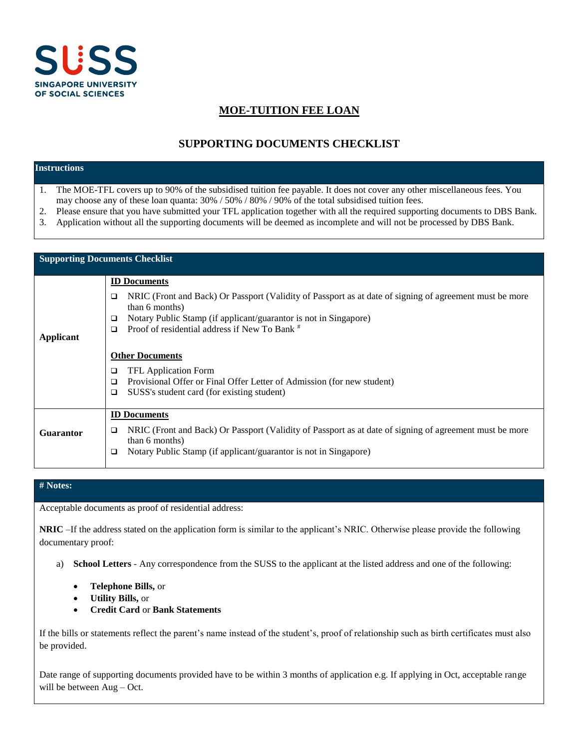

# **MOE-TUITION FEE LOAN**

# **SUPPORTING DOCUMENTS CHECKLIST**

# **Instructions**

- 1. The MOE-TFL covers up to 90% of the subsidised tuition fee payable. It does not cover any other miscellaneous fees. You may choose any of these loan quanta: 30% / 50% / 80% / 90% of the total subsidised tuition fees.
- 2. Please ensure that you have submitted your TFL application together with all the required supporting documents to DBS Bank.
- 3. Application without all the supporting documents will be deemed as incomplete and will not be processed by DBS Bank.

| <b>Supporting Documents Checklist</b> |                                                                                                                                                                                                                                                                                                                                                                                                                                                                                           |  |  |
|---------------------------------------|-------------------------------------------------------------------------------------------------------------------------------------------------------------------------------------------------------------------------------------------------------------------------------------------------------------------------------------------------------------------------------------------------------------------------------------------------------------------------------------------|--|--|
| <b>Applicant</b>                      | <b>ID</b> Documents<br>NRIC (Front and Back) Or Passport (Validity of Passport as at date of signing of agreement must be more<br>□<br>than 6 months)<br>Notary Public Stamp (if applicant/guarantor is not in Singapore)<br>□<br>Proof of residential address if New To Bank #<br>□<br><b>Other Documents</b><br><b>TFL Application Form</b><br>□<br>Provisional Offer or Final Offer Letter of Admission (for new student)<br>$\Box$<br>SUSS's student card (for existing student)<br>□ |  |  |
| <b>Guarantor</b>                      | <b>ID</b> Documents<br>NRIC (Front and Back) Or Passport (Validity of Passport as at date of signing of agreement must be more<br>□<br>than 6 months)<br>Notary Public Stamp (if applicant/guarantor is not in Singapore)<br>□                                                                                                                                                                                                                                                            |  |  |

## **# Notes:**

Acceptable documents as proof of residential address:

**NRIC** –If the address stated on the application form is similar to the applicant's NRIC. Otherwise please provide the following documentary proof:

- a) **School Letters** Any correspondence from the SUSS to the applicant at the listed address and one of the following:
	- **Telephone Bills,** or
	- **Utility Bills,** or
	- **Credit Card** or **Bank Statements**

If the bills or statements reflect the parent's name instead of the student's, proof of relationship such as birth certificates must also be provided.

Date range of supporting documents provided have to be within 3 months of application e.g. If applying in Oct, acceptable range will be between Aug – Oct.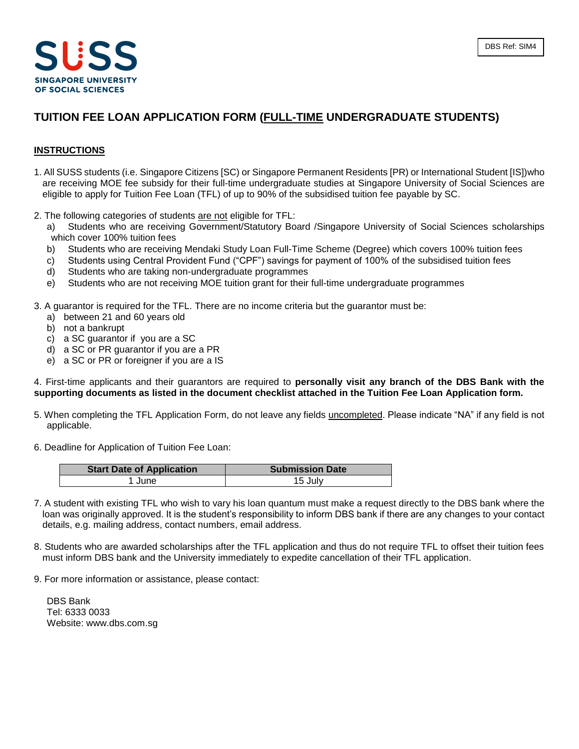

# **TUITION FEE LOAN APPLICATION FORM (FULL-TIME UNDERGRADUATE STUDENTS)**

## **INSTRUCTIONS**

- 1. All SUSS students (i.e. Singapore Citizens [SC) or Singapore Permanent Residents [PR) or International Student [IS])who are receiving MOE fee subsidy for their full-time undergraduate studies at Singapore University of Social Sciences are eligible to apply for Tuition Fee Loan (TFL) of up to 90% of the subsidised tuition fee payable by SC.
- 2. The following categories of students are not eligible for TFL:
	- a) Students who are receiving Government/Statutory Board /Singapore University of Social Sciences scholarships which cover 100% tuition fees
	- b) Students who are receiving Mendaki Study Loan Full-Time Scheme (Degree) which covers 100% tuition fees
	- c) Students using Central Provident Fund ("CPF") savings for payment of 100% of the subsidised tuition fees
	- d) Students who are taking non-undergraduate programmes
	- e) Students who are not receiving MOE tuition grant for their full-time undergraduate programmes
- 3. A guarantor is required for the TFL. There are no income criteria but the guarantor must be:
	- a) between 21 and 60 years old
	- b) not a bankrupt
	- c) a SC guarantor if you are a SC
	- d) a SC or PR guarantor if you are a PR
	- e) a SC or PR or foreigner if you are a IS

4. First-time applicants and their guarantors are required to **personally visit any branch of the DBS Bank with the supporting documents as listed in the document checklist attached in the Tuition Fee Loan Application form.**

- 5. When completing the TFL Application Form, do not leave any fields uncompleted. Please indicate "NA" if any field is not applicable.
- 6. Deadline for Application of Tuition Fee Loan:

| <b>Start Date of Application</b> | <b>Submission Date</b> |
|----------------------------------|------------------------|
| June                             | 15 July                |

- 7. A student with existing TFL who wish to vary his loan quantum must make a request directly to the DBS bank where the loan was originally approved. It is the student's responsibility to inform DBS bank if there are any changes to your contact details, e.g. mailing address, contact numbers, email address.
- 8. Students who are awarded scholarships after the TFL application and thus do not require TFL to offset their tuition fees must inform DBS bank and the University immediately to expedite cancellation of their TFL application.
- 9. For more information or assistance, please contact:

DBS Bank Tel: 6333 0033 Website: www.dbs.com.sg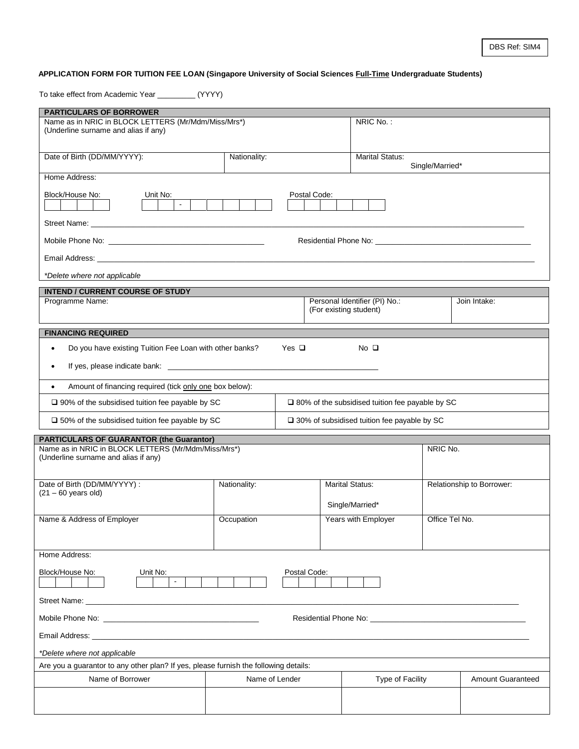## DBS Ref: SIM4

# **APPLICATION FORM FOR TUITION FEE LOAN (Singapore University of Social Sciences Full-Time Undergraduate Students)**

To take effect from Academic Year \_\_\_\_\_\_\_\_\_ (YYYY)

| <b>PARTICULARS OF BORROWER</b>                                                                                                                                                                                                                                                                                                                         |                |              |                                                           |                 |                           |  |
|--------------------------------------------------------------------------------------------------------------------------------------------------------------------------------------------------------------------------------------------------------------------------------------------------------------------------------------------------------|----------------|--------------|-----------------------------------------------------------|-----------------|---------------------------|--|
| Name as in NRIC in BLOCK LETTERS (Mr/Mdm/Miss/Mrs*)                                                                                                                                                                                                                                                                                                    |                |              | NRIC No.:                                                 |                 |                           |  |
| (Underline surname and alias if any)                                                                                                                                                                                                                                                                                                                   |                |              |                                                           |                 |                           |  |
|                                                                                                                                                                                                                                                                                                                                                        |                |              |                                                           |                 |                           |  |
| Date of Birth (DD/MM/YYYY):                                                                                                                                                                                                                                                                                                                            | Nationality:   |              | <b>Marital Status:</b>                                    |                 |                           |  |
|                                                                                                                                                                                                                                                                                                                                                        |                |              |                                                           | Single/Married* |                           |  |
| Home Address:                                                                                                                                                                                                                                                                                                                                          |                |              |                                                           |                 |                           |  |
| Block/House No:<br>Unit No:                                                                                                                                                                                                                                                                                                                            |                | Postal Code: |                                                           |                 |                           |  |
| $\sim$                                                                                                                                                                                                                                                                                                                                                 |                |              |                                                           |                 |                           |  |
|                                                                                                                                                                                                                                                                                                                                                        |                |              |                                                           |                 |                           |  |
|                                                                                                                                                                                                                                                                                                                                                        |                |              |                                                           |                 |                           |  |
|                                                                                                                                                                                                                                                                                                                                                        |                |              |                                                           |                 |                           |  |
| Email Address: North American Security of the Community of the Community of the Community of the Community of                                                                                                                                                                                                                                          |                |              |                                                           |                 |                           |  |
|                                                                                                                                                                                                                                                                                                                                                        |                |              |                                                           |                 |                           |  |
| *Delete where not applicable                                                                                                                                                                                                                                                                                                                           |                |              |                                                           |                 |                           |  |
| <b>INTEND / CURRENT COURSE OF STUDY</b>                                                                                                                                                                                                                                                                                                                |                |              |                                                           |                 |                           |  |
| Programme Name:                                                                                                                                                                                                                                                                                                                                        |                |              | Personal Identifier (PI) No.:<br>(For existing student)   |                 | Join Intake:              |  |
|                                                                                                                                                                                                                                                                                                                                                        |                |              |                                                           |                 |                           |  |
| <b>FINANCING REQUIRED</b>                                                                                                                                                                                                                                                                                                                              |                |              |                                                           |                 |                           |  |
|                                                                                                                                                                                                                                                                                                                                                        |                | Yes $\Box$   | No <sub>Q</sub>                                           |                 |                           |  |
| Do you have existing Tuition Fee Loan with other banks?<br>$\bullet$                                                                                                                                                                                                                                                                                   |                |              |                                                           |                 |                           |  |
|                                                                                                                                                                                                                                                                                                                                                        |                |              |                                                           |                 |                           |  |
|                                                                                                                                                                                                                                                                                                                                                        |                |              |                                                           |                 |                           |  |
| Amount of financing required (tick only one box below):<br>$\bullet$                                                                                                                                                                                                                                                                                   |                |              |                                                           |                 |                           |  |
| $\square$ 90% of the subsidised tuition fee payable by SC                                                                                                                                                                                                                                                                                              |                |              | $\square$ 80% of the subsidised tuition fee payable by SC |                 |                           |  |
| $\square$ 50% of the subsidised tuition fee payable by SC                                                                                                                                                                                                                                                                                              |                |              | $\square$ 30% of subsidised tuition fee payable by SC     |                 |                           |  |
|                                                                                                                                                                                                                                                                                                                                                        |                |              |                                                           |                 |                           |  |
| <b>PARTICULARS OF GUARANTOR (the Guarantor)</b>                                                                                                                                                                                                                                                                                                        |                |              |                                                           |                 |                           |  |
| Name as in NRIC in BLOCK LETTERS (Mr/Mdm/Miss/Mrs*)<br>(Underline surname and alias if any)                                                                                                                                                                                                                                                            |                |              |                                                           | NRIC No.        |                           |  |
|                                                                                                                                                                                                                                                                                                                                                        |                |              |                                                           |                 |                           |  |
|                                                                                                                                                                                                                                                                                                                                                        |                |              |                                                           |                 |                           |  |
| Date of Birth (DD/MM/YYYY):<br>$(21 - 60$ years old)                                                                                                                                                                                                                                                                                                   | Nationality:   |              | <b>Marital Status:</b>                                    |                 | Relationship to Borrower: |  |
|                                                                                                                                                                                                                                                                                                                                                        |                |              | Single/Married*                                           |                 |                           |  |
|                                                                                                                                                                                                                                                                                                                                                        |                |              |                                                           |                 |                           |  |
| Name & Address of Employer                                                                                                                                                                                                                                                                                                                             | Occupation     |              | Years with Employer                                       | Office Tel No.  |                           |  |
|                                                                                                                                                                                                                                                                                                                                                        |                |              |                                                           |                 |                           |  |
| Home Address:                                                                                                                                                                                                                                                                                                                                          |                |              |                                                           |                 |                           |  |
|                                                                                                                                                                                                                                                                                                                                                        |                |              |                                                           |                 |                           |  |
| Block/House No:<br>Unit No:                                                                                                                                                                                                                                                                                                                            |                | Postal Code: |                                                           |                 |                           |  |
| $\mathcal{L}_{\mathcal{A}}$                                                                                                                                                                                                                                                                                                                            |                |              |                                                           |                 |                           |  |
| Street Name: The Commission of the Commission of the Commission of the Commission of the Commission of the Commission of the Commission of the Commission of the Commission of the Commission of the Commission of the Commiss                                                                                                                         |                |              |                                                           |                 |                           |  |
|                                                                                                                                                                                                                                                                                                                                                        |                |              |                                                           |                 |                           |  |
| Mobile Phone No: <u>contract the contract of the contract of the contract of the contract of the contract of the contract of the contract of the contract of the contract of the contract of the contract of the contract of the</u><br>Residential Phone No: Note and the contract of the contract of the contract of the contract of the contract of |                |              |                                                           |                 |                           |  |
| Email Address: No. 2006. The Contract of the Contract of the Contract of the Contract of the Contract of the Contract of the Contract of the Contract of the Contract of the Contract of the Contract of the Contract of the C                                                                                                                         |                |              |                                                           |                 |                           |  |
| *Delete where not applicable                                                                                                                                                                                                                                                                                                                           |                |              |                                                           |                 |                           |  |
| Are you a guarantor to any other plan? If yes, please furnish the following details:                                                                                                                                                                                                                                                                   |                |              |                                                           |                 |                           |  |
|                                                                                                                                                                                                                                                                                                                                                        |                |              |                                                           |                 |                           |  |
| Name of Borrower                                                                                                                                                                                                                                                                                                                                       | Name of Lender |              | Type of Facility                                          |                 | <b>Amount Guaranteed</b>  |  |
|                                                                                                                                                                                                                                                                                                                                                        |                |              |                                                           |                 |                           |  |
|                                                                                                                                                                                                                                                                                                                                                        |                |              |                                                           |                 |                           |  |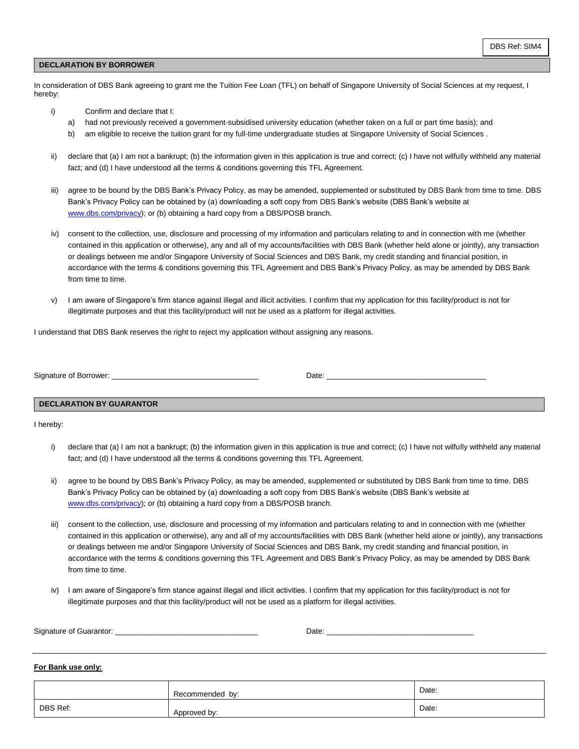## **DECLARATION BY BORROWER**

In consideration of DBS Bank agreeing to grant me the Tuition Fee Loan (TFL) on behalf of Singapore University of Social Sciences at my request, I hereby:

- i) Confirm and declare that I:
	- a) had not previously received a government-subsidised university education (whether taken on a full or part time basis); and
	- b) am eligible to receive the tuition grant for my full-time undergraduate studies at Singapore University of Social Sciences .
- ii) declare that (a) I am not a bankrupt; (b) the information given in this application is true and correct; (c) I have not wilfully withheld any material fact; and (d) I have understood all the terms & conditions governing this TFL Agreement.
- iii) agree to be bound by the DBS Bank's Privacy Policy, as may be amended, supplemented or substituted by DBS Bank from time to time. DBS Bank's Privacy Policy can be obtained by (a) downloading a soft copy from DBS Bank's website (DBS Bank's website at [www.dbs.com/privacy\)](http://www.dbs.com/privacy); or (b) obtaining a hard copy from a DBS/POSB branch.
- iv) consent to the collection, use, disclosure and processing of my information and particulars relating to and in connection with me (whether contained in this application or otherwise), any and all of my accounts/facilities with DBS Bank (whether held alone or jointly), any transaction or dealings between me and/or Singapore University of Social Sciences and DBS Bank, my credit standing and financial position, in accordance with the terms & conditions governing this TFL Agreement and DBS Bank's Privacy Policy, as may be amended by DBS Bank from time to time.
- v) I am aware of Singapore's firm stance against illegal and illicit activities. I confirm that my application for this facility/product is not for illegitimate purposes and that this facility/product will not be used as a platform for illegal activities.

I understand that DBS Bank reserves the right to reject my application without assigning any reasons.

Signature of Borrower: \_\_\_\_\_\_\_\_\_\_\_\_\_\_\_\_\_\_\_\_\_\_\_\_\_\_\_\_\_\_\_\_\_\_\_ Date: \_\_\_\_\_\_\_\_\_\_\_\_\_\_\_\_\_\_\_\_\_\_\_\_\_\_\_\_\_\_\_\_\_\_\_\_\_\_

#### **DECLARATION BY GUARANTOR**

I hereby:

- i) declare that (a) I am not a bankrupt; (b) the information given in this application is true and correct; (c) I have not wilfully withheld any material fact; and (d) I have understood all the terms & conditions governing this TFL Agreement.
- ii) agree to be bound by DBS Bank's Privacy Policy, as may be amended, supplemented or substituted by DBS Bank from time to time. DBS Bank's Privacy Policy can be obtained by (a) downloading a soft copy from DBS Bank's website (DBS Bank's website at [www.dbs.com/privacy\)](http://www.dbs.com/privacy); or (b) obtaining a hard copy from a DBS/POSB branch.
- iii) consent to the collection, use, disclosure and processing of my information and particulars relating to and in connection with me (whether contained in this application or otherwise), any and all of my accounts/facilities with DBS Bank (whether held alone or jointly), any transactions or dealings between me and/or Singapore University of Social Sciences and DBS Bank, my credit standing and financial position, in accordance with the terms & conditions governing this TFL Agreement and DBS Bank's Privacy Policy, as may be amended by DBS Bank from time to time.
- iv) I am aware of Singapore's firm stance against illegal and illicit activities. I confirm that my application for this facility/product is not for illegitimate purposes and that this facility/product will not be used as a platform for illegal activities.

| Signature of Guarantor: | ' )ate. |  |
|-------------------------|---------|--|
|                         |         |  |

## **For Bank use only:**

|          | Recommended by: | Date: |
|----------|-----------------|-------|
| DBS Ref: | Approved by:    | Date: |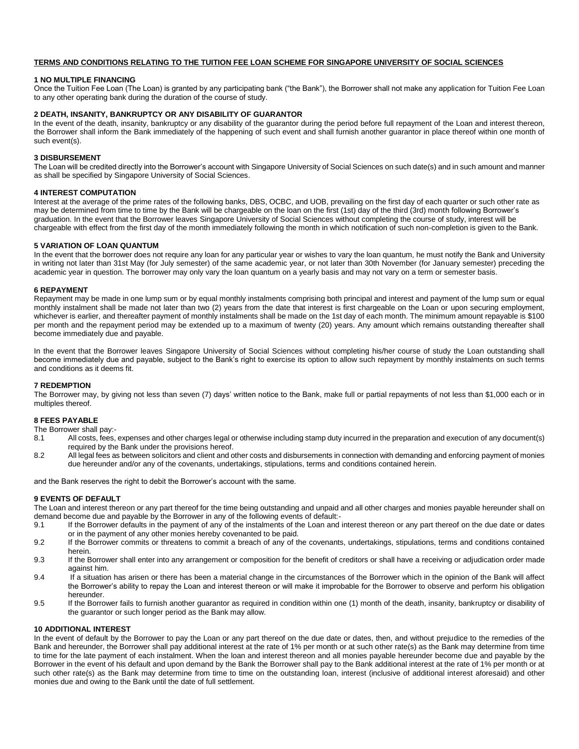#### **TERMS AND CONDITIONS RELATING TO THE TUITION FEE LOAN SCHEME FOR SINGAPORE UNIVERSITY OF SOCIAL SCIENCES**

#### **1 NO MULTIPLE FINANCING**

Once the Tuition Fee Loan (The Loan) is granted by any participating bank ("the Bank"), the Borrower shall not make any application for Tuition Fee Loan to any other operating bank during the duration of the course of study.

#### **2 DEATH, INSANITY, BANKRUPTCY OR ANY DISABILITY OF GUARANTOR**

In the event of the death, insanity, bankruptcy or any disability of the guarantor during the period before full repayment of the Loan and interest thereon, the Borrower shall inform the Bank immediately of the happening of such event and shall furnish another guarantor in place thereof within one month of such event(s).

#### **3 DISBURSEMENT**

The Loan will be credited directly into the Borrower's account with Singapore University of Social Sciences on such date(s) and in such amount and manner as shall be specified by Singapore University of Social Sciences.

#### **4 INTEREST COMPUTATION**

Interest at the average of the prime rates of the following banks, DBS, OCBC, and UOB, prevailing on the first day of each quarter or such other rate as may be determined from time to time by the Bank will be chargeable on the loan on the first (1st) day of the third (3rd) month following Borrower's graduation. In the event that the Borrower leaves Singapore University of Social Sciences without completing the course of study, interest will be chargeable with effect from the first day of the month immediately following the month in which notification of such non-completion is given to the Bank.

## **5 VARIATION OF LOAN QUANTUM**

In the event that the borrower does not require any loan for any particular year or wishes to vary the loan quantum, he must notify the Bank and University in writing not later than 31st May (for July semester) of the same academic year, or not later than 30th November (for January semester) preceding the academic year in question. The borrower may only vary the loan quantum on a yearly basis and may not vary on a term or semester basis.

#### **6 REPAYMENT**

Repayment may be made in one lump sum or by equal monthly instalments comprising both principal and interest and payment of the lump sum or equal monthly instalment shall be made not later than two (2) years from the date that interest is first chargeable on the Loan or upon securing employment, whichever is earlier, and thereafter payment of monthly instalments shall be made on the 1st day of each month. The minimum amount repayable is \$100 per month and the repayment period may be extended up to a maximum of twenty (20) years. Any amount which remains outstanding thereafter shall become immediately due and payable.

In the event that the Borrower leaves Singapore University of Social Sciences without completing his/her course of study the Loan outstanding shall become immediately due and payable, subject to the Bank's right to exercise its option to allow such repayment by monthly instalments on such terms and conditions as it deems fit.

#### **7 REDEMPTION**

The Borrower may, by giving not less than seven (7) days' written notice to the Bank, make full or partial repayments of not less than \$1,000 each or in multiples thereof.

## **8 FEES PAYABLE**

The Borrower shall pay:-<br>8.1 All costs fees

- 8.1 All costs, fees, expenses and other charges legal or otherwise including stamp duty incurred in the preparation and execution of any document(s) required by the Bank under the provisions hereof.
- 8.2 All legal fees as between solicitors and client and other costs and disbursements in connection with demanding and enforcing payment of monies due hereunder and/or any of the covenants, undertakings, stipulations, terms and conditions contained herein.

and the Bank reserves the right to debit the Borrower's account with the same.

#### **9 EVENTS OF DEFAULT**

The Loan and interest thereon or any part thereof for the time being outstanding and unpaid and all other charges and monies payable hereunder shall on demand become due and payable by the Borrower in any of the following events of default:-

- 9.1 If the Borrower defaults in the payment of any of the instalments of the Loan and interest thereon or any part thereof on the due date or dates or in the payment of any other monies hereby covenanted to be paid.
- 9.2 If the Borrower commits or threatens to commit a breach of any of the covenants, undertakings, stipulations, terms and conditions contained herein.
- 9.3 If the Borrower shall enter into any arrangement or composition for the benefit of creditors or shall have a receiving or adjudication order made against him.
- 9.4 If a situation has arisen or there has been a material change in the circumstances of the Borrower which in the opinion of the Bank will affect the Borrower's ability to repay the Loan and interest thereon or will make it improbable for the Borrower to observe and perform his obligation hereunder.
- 9.5 If the Borrower fails to furnish another guarantor as required in condition within one (1) month of the death, insanity, bankruptcy or disability of the guarantor or such longer period as the Bank may allow.

#### **10 ADDITIONAL INTEREST**

In the event of default by the Borrower to pay the Loan or any part thereof on the due date or dates, then, and without prejudice to the remedies of the Bank and hereunder, the Borrower shall pay additional interest at the rate of 1% per month or at such other rate(s) as the Bank may determine from time to time for the late payment of each instalment. When the loan and interest thereon and all monies payable hereunder become due and payable by the Borrower in the event of his default and upon demand by the Bank the Borrower shall pay to the Bank additional interest at the rate of 1% per month or at such other rate(s) as the Bank may determine from time to time on the outstanding loan, interest (inclusive of additional interest aforesaid) and other monies due and owing to the Bank until the date of full settlement.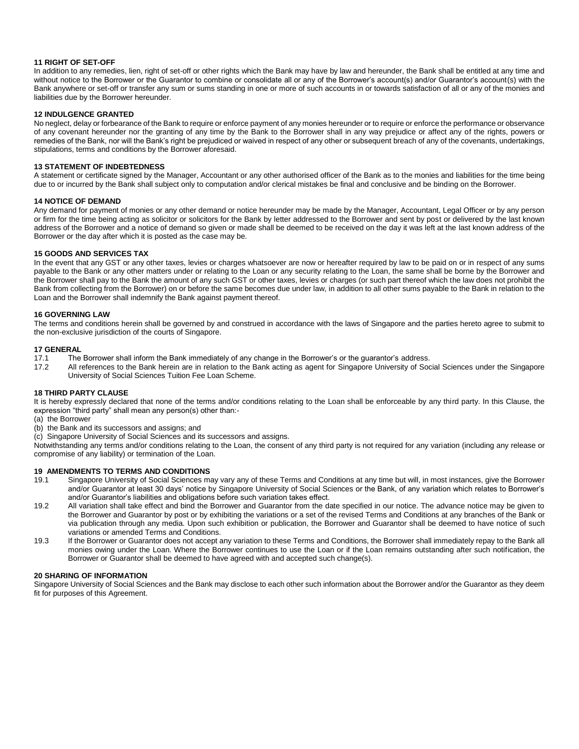#### **11 RIGHT OF SET-OFF**

In addition to any remedies, lien, right of set-off or other rights which the Bank may have by law and hereunder, the Bank shall be entitled at any time and without notice to the Borrower or the Guarantor to combine or consolidate all or any of the Borrower's account(s) and/or Guarantor's account(s) with the Bank anywhere or set-off or transfer any sum or sums standing in one or more of such accounts in or towards satisfaction of all or any of the monies and liabilities due by the Borrower hereunder.

#### **12 INDULGENCE GRANTED**

No neglect, delay or forbearance of the Bank to require or enforce payment of any monies hereunder or to require or enforce the performance or observance of any covenant hereunder nor the granting of any time by the Bank to the Borrower shall in any way prejudice or affect any of the rights, powers or remedies of the Bank, nor will the Bank's right be prejudiced or waived in respect of any other or subsequent breach of any of the covenants, undertakings, stipulations, terms and conditions by the Borrower aforesaid.

#### **13 STATEMENT OF INDEBTEDNESS**

A statement or certificate signed by the Manager, Accountant or any other authorised officer of the Bank as to the monies and liabilities for the time being due to or incurred by the Bank shall subject only to computation and/or clerical mistakes be final and conclusive and be binding on the Borrower.

#### **14 NOTICE OF DEMAND**

Any demand for payment of monies or any other demand or notice hereunder may be made by the Manager, Accountant, Legal Officer or by any person or firm for the time being acting as solicitor or solicitors for the Bank by letter addressed to the Borrower and sent by post or delivered by the last known address of the Borrower and a notice of demand so given or made shall be deemed to be received on the day it was left at the last known address of the Borrower or the day after which it is posted as the case may be.

#### **15 GOODS AND SERVICES TAX**

In the event that any GST or any other taxes, levies or charges whatsoever are now or hereafter required by law to be paid on or in respect of any sums payable to the Bank or any other matters under or relating to the Loan or any security relating to the Loan, the same shall be borne by the Borrower and the Borrower shall pay to the Bank the amount of any such GST or other taxes, levies or charges (or such part thereof which the law does not prohibit the Bank from collecting from the Borrower) on or before the same becomes due under law, in addition to all other sums payable to the Bank in relation to the Loan and the Borrower shall indemnify the Bank against payment thereof.

#### **16 GOVERNING LAW**

The terms and conditions herein shall be governed by and construed in accordance with the laws of Singapore and the parties hereto agree to submit to the non-exclusive jurisdiction of the courts of Singapore.

#### **17 GENERAL**

- 17.1 The Borrower shall inform the Bank immediately of any change in the Borrower's or the guarantor's address.
- 17.2 All references to the Bank herein are in relation to the Bank acting as agent for Singapore University of Social Sciences under the Singapore University of Social Sciences Tuition Fee Loan Scheme.

#### **18 THIRD PARTY CLAUSE**

It is hereby expressly declared that none of the terms and/or conditions relating to the Loan shall be enforceable by any third party. In this Clause, the expression "third party" shall mean any person(s) other than:-

- (a) the Borrower
- (b) the Bank and its successors and assigns; and

(c) Singapore University of Social Sciences and its successors and assigns.

Notwithstanding any terms and/or conditions relating to the Loan, the consent of any third party is not required for any variation (including any release or compromise of any liability) or termination of the Loan.

### **19 AMENDMENTS TO TERMS AND CONDITIONS**

- 19.1 Singapore University of Social Sciences may vary any of these Terms and Conditions at any time but will, in most instances, give the Borrower and/or Guarantor at least 30 days' notice by Singapore University of Social Sciences or the Bank, of any variation which relates to Borrower's and/or Guarantor's liabilities and obligations before such variation takes effect.
- 19.2 All variation shall take effect and bind the Borrower and Guarantor from the date specified in our notice. The advance notice may be given to the Borrower and Guarantor by post or by exhibiting the variations or a set of the revised Terms and Conditions at any branches of the Bank or via publication through any media. Upon such exhibition or publication, the Borrower and Guarantor shall be deemed to have notice of such variations or amended Terms and Conditions.
- 19.3 If the Borrower or Guarantor does not accept any variation to these Terms and Conditions, the Borrower shall immediately repay to the Bank all monies owing under the Loan. Where the Borrower continues to use the Loan or if the Loan remains outstanding after such notification, the Borrower or Guarantor shall be deemed to have agreed with and accepted such change(s).

#### **20 SHARING OF INFORMATION**

Singapore University of Social Sciences and the Bank may disclose to each other such information about the Borrower and/or the Guarantor as they deem fit for purposes of this Agreement.